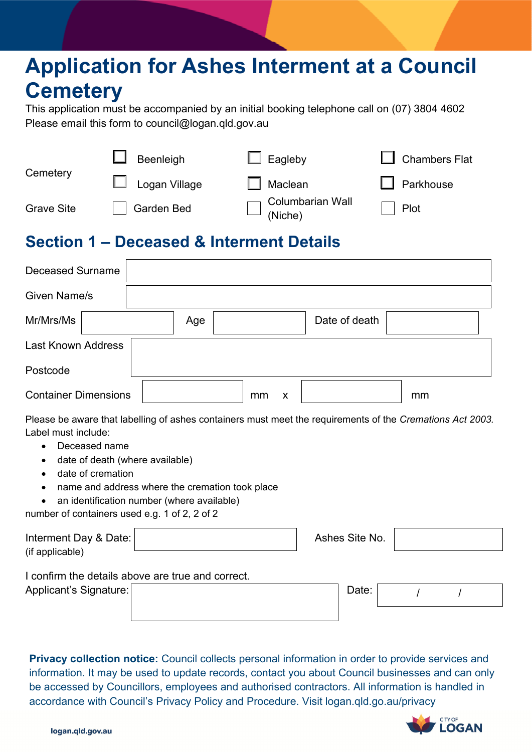# **Application for Ashes Interment at a Council Cemetery**

This application must be accompanied by an initial booking telephone call on (07) 3804 4602 Please email this form to council@logan.gld.gov.au

| Cemetery          | Beenleigh            | $\Box$ Eagleby              | $\Box$ Chambers Flat |  |  |
|-------------------|----------------------|-----------------------------|----------------------|--|--|
|                   | $\Box$ Logan Village | $\Box$ Maclean              | $\Box$ Parkhouse     |  |  |
| <b>Grave Site</b> | <b>Garden Bed</b>    | Columbarian Wall<br>(Niche) | Plot                 |  |  |

## **Section 1 – Deceased & Interment Details**

| <b>Deceased Surname</b>     |     |    |   |               |    |  |
|-----------------------------|-----|----|---|---------------|----|--|
| Given Name/s                |     |    |   |               |    |  |
| Mr/Mrs/Ms                   | Age |    |   | Date of death |    |  |
| <b>Last Known Address</b>   |     |    |   |               |    |  |
| Postcode                    |     |    |   |               |    |  |
| <b>Container Dimensions</b> |     | mm | X |               | mm |  |

Please be aware that labelling of ashes containers must meet the requirements of the *Cremations Act 2003.*  Label must include:

- Deceased name
- date of death (where available)
- date of cremation
- name and address where the cremation took place
- an identification number (where available)
- number of containers used e.g. 1 of 2, 2 of 2

| Interment Day & Date:<br>(if applicable) |                                                   | Ashes Site No. |  |  |
|------------------------------------------|---------------------------------------------------|----------------|--|--|
|                                          | I confirm the details above are true and correct. |                |  |  |
| Applicant's Signature:                   |                                                   | Date:          |  |  |
|                                          |                                                   |                |  |  |

**Privacy collection notice:** Council collects personal information in order to provide services and information. It may be used to update records, contact you about Council businesses and can only be accessed by Councillors, employees and authorised contractors. All information is handled in accordance with Council's Privacy Policy and Procedure. Visit logan.qld.go.au/privacy



logan.qld.gov.au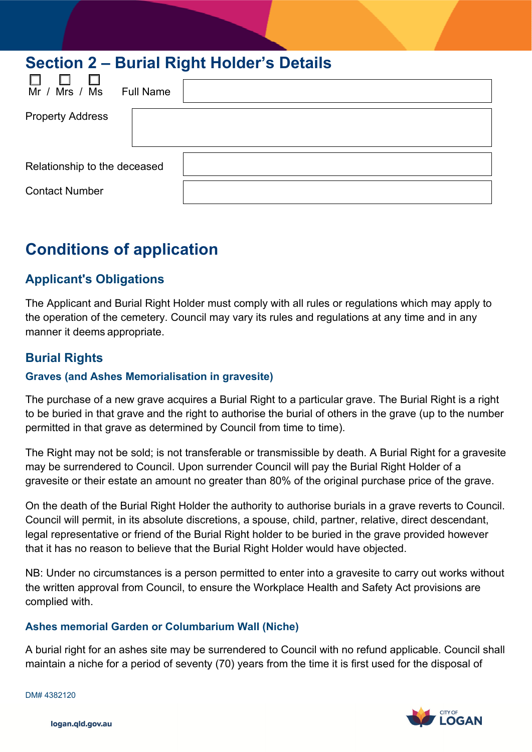| Section 2 – Burial Right Holder's Details |  |  |  |  |  |  |  |
|-------------------------------------------|--|--|--|--|--|--|--|
| Mr / Mrs / Ms<br><b>Full Name</b>         |  |  |  |  |  |  |  |
| <b>Property Address</b>                   |  |  |  |  |  |  |  |
| Relationship to the deceased              |  |  |  |  |  |  |  |
| <b>Contact Number</b>                     |  |  |  |  |  |  |  |

# **Conditions of application**

### **Applicant's Obligations**

The Applicant and Burial Right Holder must comply with all rules or regulations which may apply to the operation of the cemetery. Council may vary its rules and regulations at any time and in any manner it deems appropriate.

### **Burial Rights**

### **Graves (and Ashes Memorialisation in gravesite)**

The purchase of a new grave acquires a Burial Right to a particular grave. The Burial Right is a right to be buried in that grave and the right to authorise the burial of others in the grave (up to the number permitted in that grave as determined by Council from time to time).

The Right may not be sold; is not transferable or transmissible by death. A Burial Right for a gravesite may be surrendered to Council. Upon surrender Council will pay the Burial Right Holder of a gravesite or their estate an amount no greater than 80% of the original purchase price of the grave.

On the death of the Burial Right Holder the authority to authorise burials in a grave reverts to Council. Council will permit, in its absolute discretions, a spouse, child, partner, relative, direct descendant, legal representative or friend of the Burial Right holder to be buried in the grave provided however that it has no reason to believe that the Burial Right Holder would have objected.

NB: Under no circumstances is a person permitted to enter into a gravesite to carry out works without the written approval from Council, to ensure the Workplace Health and Safety Act provisions are complied with.

#### **Ashes memorial Garden or Columbarium Wall (Niche)**

A burial right for an ashes site may be surrendered to Council with no refund applicable. Council shall maintain a niche for a period of seventy (70) years from the time it is first used for the disposal of

DM# 4382120



logan.qld.gov.au